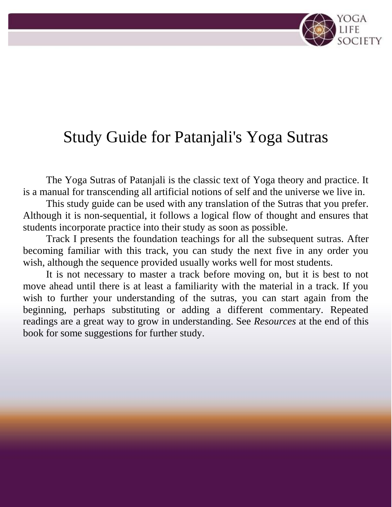# Study Guide for Patanjali's Yoga Sutras

The Yoga Sutras of Patanjali is the classic text of Yoga theory and practice. It is a manual for transcending all artificial notions of self and the universe we live in.

This study guide can be used with any translation of the Sutras that you prefer. Although it is non-sequential, it follows a logical flow of thought and ensures that students incorporate practice into their study as soon as possible.

Track I presents the foundation teachings for all the subsequent sutras. After becoming familiar with this track, you can study the next five in any order you wish, although the sequence provided usually works well for most students.

It is not necessary to master a track before moving on, but it is best to not move ahead until there is at least a familiarity with the material in a track. If you wish to further your understanding of the sutras, you can start again from the beginning, perhaps substituting or adding a different commentary. Repeated readings are a great way to grow in understanding. See *Resources* at the end of this book for some suggestions for further study.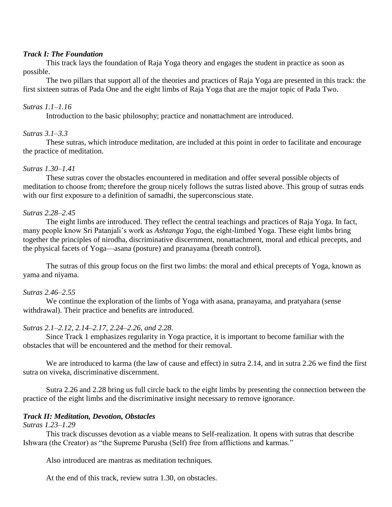#### *Track I: The Foundation*

This track lays the foundation of Raja Yoga theory and engages the student in practice as soon as possible.

The two pillars that support all of the theories and practices of Raja Yoga are presented in this track: the first sixteen sutras of Pada One and the eight limbs of Raja Yoga that are the major topic of Pada Two.

## *Sutras 1.1–1.16*

Introduction to the basic philosophy; practice and nonattachment are introduced.

# *Sutras 3.1–3.3*

These sutras, which introduce meditation, are included at this point in order to facilitate and encourage the practice of meditation.

## *Sutras 1.30–1.41*

These sutras cover the obstacles encountered in meditation and offer several possible objects of meditation to choose from; therefore the group nicely follows the sutras listed above. This group of sutras ends with our first exposure to a definition of samadhi, the superconscious state.

## *Sutras 2.28–2.45*

The eight limbs are introduced. They reflect the central teachings and practices of Raja Yoga. In fact, many people know Sri Patanjali's work as *Ashtanga Yoga*, the eight-limbed Yoga. These eight limbs bring together the principles of nirodha, discriminative discernment, nonattachment, moral and ethical precepts, and the physical facets of Yoga—asana (posture) and pranayama (breath control).

The sutras of this group focus on the first two limbs: the moral and ethical precepts of Yoga, known as yama and niyama.

# *Sutras 2.46–2.55*

We continue the exploration of the limbs of Yoga with asana, pranayama, and pratyahara (sense withdrawal). Their practice and benefits are introduced.

# *Sutras 2.1–2.12, 2.14–2.17, 2.24–2.26, and 2.28.*

Since Track 1 emphasizes regularity in Yoga practice, it is important to become familiar with the obstacles that will be encountered and the method for their removal.

We are introduced to karma (the law of cause and effect) in sutra 2.14, and in sutra 2.26 we find the first sutra on viveka, discriminative discernment.

Sutra 2.26 and 2.28 bring us full circle back to the eight limbs by presenting the connection between the practice of the eight limbs and the discriminative insight necessary to remove ignorance.

# *Track II: Meditation, Devotion, Obstacles*

#### *Sutras 1.23–1.29*

This track discusses devotion as a viable means to Self-realization. It opens with sutras that describe Ishwara (the Creator) as "the Supreme Purusha (Self) free from afflictions and karmas."

Also introduced are mantras as meditation techniques.

At the end of this track, review sutra 1.30, on obstacles.